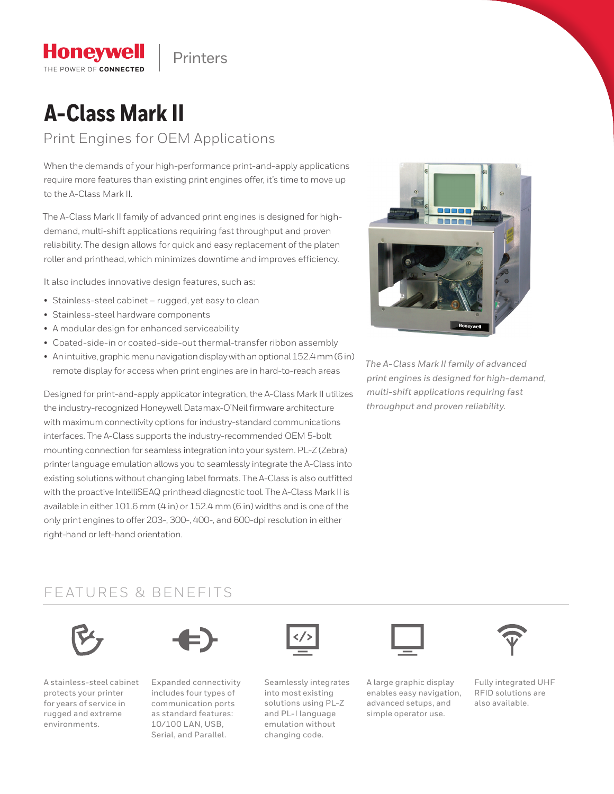Printers

# **A-Class Mark II**

**Honeywell** THE POWER OF CONNECTED

Print Engines for OEM Applications

When the demands of your high-performance print-and-apply applications require more features than existing print engines offer, it's time to move up to the A-Class Mark II.

The A-Class Mark II family of advanced print engines is designed for highdemand, multi-shift applications requiring fast throughput and proven reliability. The design allows for quick and easy replacement of the platen roller and printhead, which minimizes downtime and improves efficiency.

It also includes innovative design features, such as:

- Stainless-steel cabinet rugged, yet easy to clean
- Stainless-steel hardware components
- A modular design for enhanced serviceability
- Coated-side-in or coated-side-out thermal-transfer ribbon assembly
- An intuitive, graphic menu navigation display with an optional 152.4 mm (6 in) remote display for access when print engines are in hard-to-reach areas

Designed for print-and-apply applicator integration, the A-Class Mark II utilizes the industry-recognized Honeywell Datamax-O'Neil firmware architecture with maximum connectivity options for industry-standard communications interfaces. The A-Class supports the industry-recommended OEM 5-bolt mounting connection for seamless integration into your system. PL-Z (Zebra) printer language emulation allows you to seamlessly integrate the A-Class into existing solutions without changing label formats. The A-Class is also outfitted with the proactive IntelliSEAQ printhead diagnostic tool. The A-Class Mark II is available in either 101.6 mm (4 in) or 152.4 mm (6 in) widths and is one of the only print engines to offer 203-, 300-, 400-, and 600-dpi resolution in either right-hand or left-hand orientation.



*The A-Class Mark II family of advanced print engines is designed for high-demand, multi-shift applications requiring fast throughput and proven reliability.*

### FEATURES & BENEFITS



A stainless-steel cabinet protects your printer for years of service in rugged and extreme environments.



Expanded connectivity includes four types of communication ports as standard features: 10/100 LAN, USB, Serial, and Parallel.



Seamlessly integrates into most existing solutions using PL-Z and PL-I language emulation without changing code.



A large graphic display enables easy navigation, advanced setups, and simple operator use.



Fully integrated UHF RFID solutions are also available.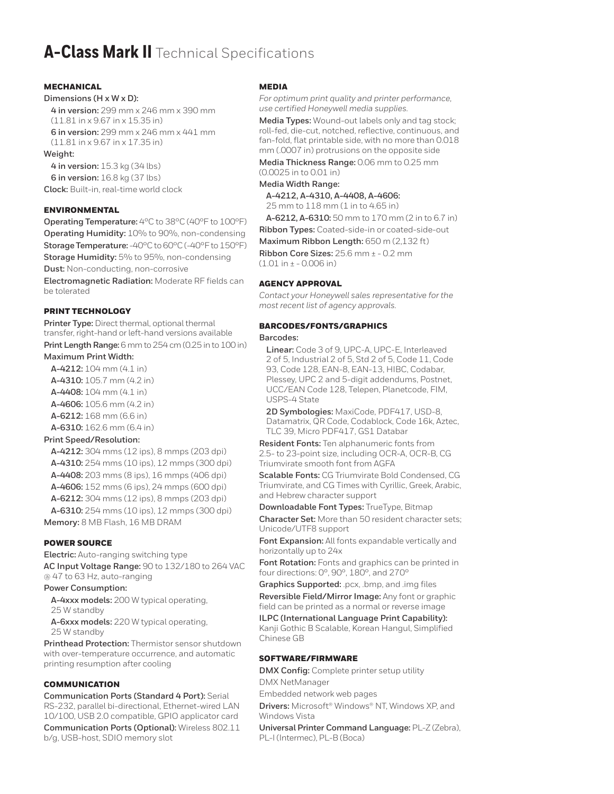## **A-Class Mark II** Technical Specifications

#### MECHANICAL

#### **Dimensions (H x W x D):**

**4 in version:** 299 mm x 246 mm x 390 mm (11.81 in x 9.67 in x 15.35 in)

**6 in version:** 299 mm x 246 mm x 441 mm (11.81 in x 9.67 in x 17.35 in)

#### **Weight:**

**4 in version:** 15.3 kg (34 lbs) **6 in version:** 16.8 kg (37 lbs) **Clock:** Built-in, real-time world clock

#### ENVIRONMENTAL

**Operating Temperature:** 4°C to 38°C (40°F to 100°F) **Operating Humidity:** 10% to 90%, non-condensing **Storage Temperature:** -40°C to 60°C (-40°F to 150°F) **Storage Humidity:** 5% to 95%, non-condensing **Dust:** Non-conducting, non-corrosive

**Electromagnetic Radiation:** Moderate RF fields can be tolerated

#### PRINT TECHNOLOGY

**Printer Type:** Direct thermal, optional thermal transfer, right-hand or left-hand versions available **Print Length Range:** 6 mm to 254 cm (0.25 in to 100 in)

**Maximum Print Width:**

**A-4212:** 104 mm (4.1 in)

**A-4310:** 105.7 mm (4.2 in)

**A-4408:** 104 mm (4.1 in)

**A-4606:** 105.6 mm (4.2 in)

**A-6212:** 168 mm (6.6 in)

**A-6310:** 162.6 mm (6.4 in)

#### **Print Speed/Resolution:**

**A-4212:** 304 mms (12 ips), 8 mmps (203 dpi) **A-4310:** 254 mms (10 ips), 12 mmps (300 dpi) **A-4408:** 203 mms (8 ips), 16 mmps (406 dpi) **A-4606:** 152 mms (6 ips), 24 mmps (600 dpi) **A-6212:** 304 mms (12 ips), 8 mmps (203 dpi) **A-6310:** 254 mms (10 ips), 12 mmps (300 dpi) **Memory:** 8 MB Flash, 16 MB DRAM

#### POWER SOURCE

**Electric:** Auto-ranging switching type **AC Input Voltage Range:** 90 to 132/180 to 264 VAC @ 47 to 63 Hz, auto-ranging

#### **Power Consumption:**

**A-4xxx models:** 200 W typical operating, 25 W standby

**A-6xxx models:** 220 W typical operating, 25 W standby

**Printhead Protection:** Thermistor sensor shutdown with over-temperature occurrence, and automatic printing resumption after cooling

#### COMMUNICATION

**Communication Ports (Standard 4 Port):** Serial RS-232, parallel bi-directional, Ethernet-wired LAN 10/100, USB 2.0 compatible, GPIO applicator card

**Communication Ports (Optional):** Wireless 802.11 b/g, USB-host, SDIO memory slot

#### MEDIA

*For optimum print quality and printer performance, use certified Honeywell media supplies.*

**Media Types:** Wound-out labels only and tag stock; roll-fed, die-cut, notched, reflective, continuous, and fan-fold, flat printable side, with no more than 0.018 mm (.0007 in) protrusions on the opposite side

**Media Thickness Range:** 0.06 mm to 0.25 mm (0.0025 in to 0.01 in)

#### **Media Width Range:**

**A-4212, A-4310, A-4408, A-4606:**

25 mm to 118 mm (1 in to 4.65 in)

**A-6212, A-6310:** 50 mm to 170 mm (2 in to 6.7 in) **Ribbon Types:** Coated-side-in or coated-side-out **Maximum Ribbon Length:** 650 m (2,132 ft) **Ribbon Core Sizes:** 25.6 mm ± - 0.2 mm

(1.01 in ± - 0.006 in)

#### AGENCY APPROVAL

*Contact your Honeywell sales representative for the most recent list of agency approvals.*

#### BARCODES/FONTS/GRAPHICS

#### **Barcodes:**

**Linear:** Code 3 of 9, UPC-A, UPC-E, Interleaved 2 of 5, Industrial 2 of 5, Std 2 of 5, Code 11, Code 93, Code 128, EAN-8, EAN-13, HIBC, Codabar, Plessey, UPC 2 and 5-digit addendums, Postnet, UCC/EAN Code 128, Telepen, Planetcode, FIM, USPS-4 State

**2D Symbologies:** MaxiCode, PDF417, USD-8, Datamatrix, QR Code, Codablock, Code 16k, Aztec, TLC 39, Micro PDF417, GS1 Databar

**Resident Fonts:** Ten alphanumeric fonts from 2.5- to 23-point size, including OCR-A, OCR-B, CG Triumvirate smooth font from AGFA

**Scalable Fonts:** CG Triumvirate Bold Condensed, CG Triumvirate, and CG Times with Cyrillic, Greek, Arabic, and Hebrew character support

**Downloadable Font Types:** TrueType, Bitmap

**Character Set:** More than 50 resident character sets; Unicode/UTF8 support

**Font Expansion:** All fonts expandable vertically and horizontally up to 24x

**Font Rotation:** Fonts and graphics can be printed in four directions: 0°, 90°, 180°, and 270°

**Graphics Supported:** .pcx, .bmp, and .img files

**Reversible Field/Mirror Image:** Any font or graphic field can be printed as a normal or reverse image

**ILPC (International Language Print Capability):** Kanji Gothic B Scalable, Korean Hangul, Simplified Chinese GB

#### SOFTWARE/FIRMWARE

**DMX Config:** Complete printer setup utility DMX NetManager

Embedded network web pages

**Drivers:** Microsoft® Windows® NT, Windows XP, and Windows Vista

**Universal Printer Command Language:** PL-Z (Zebra), PL-I (Intermec), PL-B (Boca)